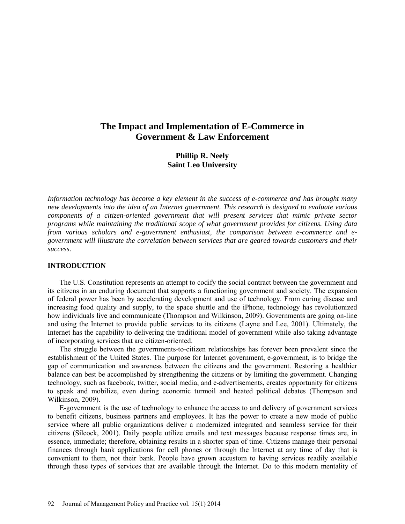# **The Impact and Implementation of E-Commerce in Government & Law Enforcement**

## **Phillip R. Neely Saint Leo University**

*Information technology has become a key element in the success of e-commerce and has brought many new developments into the idea of an Internet government. This research is designed to evaluate various components of a citizen-oriented government that will present services that mimic private sector programs while maintaining the traditional scope of what government provides for citizens. Using data from various scholars and e-government enthusiast, the comparison between e-commerce and egovernment will illustrate the correlation between services that are geared towards customers and their success.* 

#### **INTRODUCTION**

The U.S. Constitution represents an attempt to codify the social contract between the government and its citizens in an enduring document that supports a functioning government and society. The expansion of federal power has been by accelerating development and use of technology. From curing disease and increasing food quality and supply, to the space shuttle and the iPhone, technology has revolutionized how individuals live and communicate (Thompson and Wilkinson, 2009). Governments are going on-line and using the Internet to provide public services to its citizens (Layne and Lee, 2001). Ultimately, the Internet has the capability to delivering the traditional model of government while also taking advantage of incorporating services that are citizen-oriented.

The struggle between the governments-to-citizen relationships has forever been prevalent since the establishment of the United States. The purpose for Internet government, e-government, is to bridge the gap of communication and awareness between the citizens and the government. Restoring a healthier balance can best be accomplished by strengthening the citizens or by limiting the government. Changing technology, such as facebook, twitter, social media, and e-advertisements, creates opportunity for citizens to speak and mobilize, even during economic turmoil and heated political debates (Thompson and Wilkinson, 2009).

E-government is the use of technology to enhance the access to and delivery of government services to benefit citizens, business partners and employees. It has the power to create a new mode of public service where all public organizations deliver a modernized integrated and seamless service for their citizens (Silcock, 2001). Daily people utilize emails and text messages because response times are, in essence, immediate; therefore, obtaining results in a shorter span of time. Citizens manage their personal finances through bank applications for cell phones or through the Internet at any time of day that is convenient to them, not their bank. People have grown accustom to having services readily available through these types of services that are available through the Internet. Do to this modern mentality of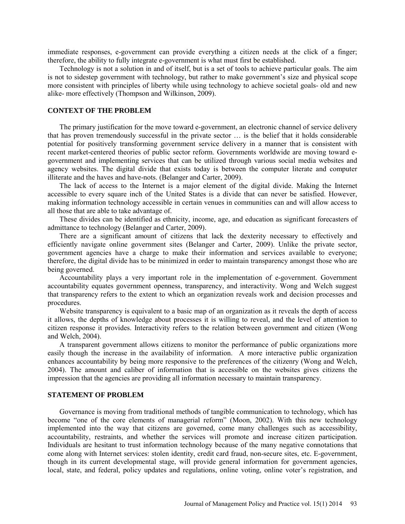immediate responses, e-government can provide everything a citizen needs at the click of a finger; therefore, the ability to fully integrate e-government is what must first be established.

Technology is not a solution in and of itself, but is a set of tools to achieve particular goals. The aim is not to sidestep government with technology, but rather to make government's size and physical scope more consistent with principles of liberty while using technology to achieve societal goals- old and new alike- more effectively (Thompson and Wilkinson, 2009).

### **CONTEXT OF THE PROBLEM**

The primary justification for the move toward e-government, an electronic channel of service delivery that has proven tremendously successful in the private sector … is the belief that it holds considerable potential for positively transforming government service delivery in a manner that is consistent with recent market-centered theories of public sector reform. Governments worldwide are moving toward egovernment and implementing services that can be utilized through various social media websites and agency websites. The digital divide that exists today is between the computer literate and computer illiterate and the haves and have-nots. (Belanger and Carter, 2009).

The lack of access to the Internet is a major element of the digital divide. Making the Internet accessible to every square inch of the United States is a divide that can never be satisfied. However, making information technology accessible in certain venues in communities can and will allow access to all those that are able to take advantage of.

These divides can be identified as ethnicity, income, age, and education as significant forecasters of admittance to technology (Belanger and Carter, 2009).

There are a significant amount of citizens that lack the dexterity necessary to effectively and efficiently navigate online government sites (Belanger and Carter, 2009). Unlike the private sector, government agencies have a charge to make their information and services available to everyone; therefore, the digital divide has to be minimized in order to maintain transparency amongst those who are being governed.

Accountability plays a very important role in the implementation of e-government. Government accountability equates government openness, transparency, and interactivity. Wong and Welch suggest that transparency refers to the extent to which an organization reveals work and decision processes and procedures.

Website transparency is equivalent to a basic map of an organization as it reveals the depth of access it allows, the depths of knowledge about processes it is willing to reveal, and the level of attention to citizen response it provides. Interactivity refers to the relation between government and citizen (Wong and Welch, 2004).

A transparent government allows citizens to monitor the performance of public organizations more easily though the increase in the availability of information. A more interactive public organization enhances accountability by being more responsive to the preferences of the citizenry (Wong and Welch, 2004). The amount and caliber of information that is accessible on the websites gives citizens the impression that the agencies are providing all information necessary to maintain transparency.

#### **STATEMENT OF PROBLEM**

Governance is moving from traditional methods of tangible communication to technology, which has become "one of the core elements of managerial reform" (Moon, 2002). With this new technology implemented into the way that citizens are governed, come many challenges such as accessibility, accountability, restraints, and whether the services will promote and increase citizen participation. Individuals are hesitant to trust information technology because of the many negative connotations that come along with Internet services: stolen identity, credit card fraud, non-secure sites, etc. E-government, though in its current developmental stage, will provide general information for government agencies, local, state, and federal, policy updates and regulations, online voting, online voter's registration, and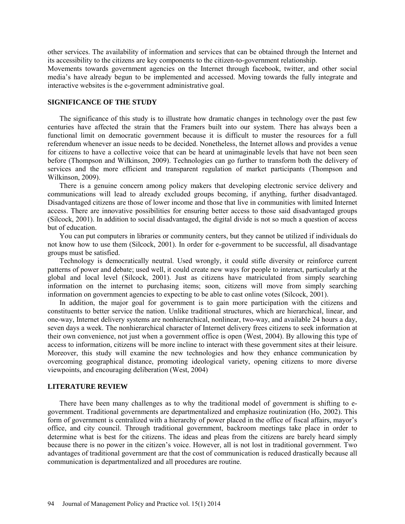other services. The availability of information and services that can be obtained through the Internet and its accessibility to the citizens are key components to the citizen-to-government relationship.

Movements towards government agencies on the Internet through facebook, twitter, and other social media's have already begun to be implemented and accessed. Moving towards the fully integrate and interactive websites is the e-government administrative goal.

## **SIGNIFICANCE OF THE STUDY**

The significance of this study is to illustrate how dramatic changes in technology over the past few centuries have affected the strain that the Framers built into our system. There has always been a functional limit on democratic government because it is difficult to muster the resources for a full referendum whenever an issue needs to be decided. Nonetheless, the Internet allows and provides a venue for citizens to have a collective voice that can be heard at unimaginable levels that have not been seen before (Thompson and Wilkinson, 2009). Technologies can go further to transform both the delivery of services and the more efficient and transparent regulation of market participants (Thompson and Wilkinson, 2009).

There is a genuine concern among policy makers that developing electronic service delivery and communications will lead to already excluded groups becoming, if anything, further disadvantaged. Disadvantaged citizens are those of lower income and those that live in communities with limited Internet access. There are innovative possibilities for ensuring better access to those said disadvantaged groups (Silcock, 2001). In addition to social disadvantaged, the digital divide is not so much a question of access but of education.

You can put computers in libraries or community centers, but they cannot be utilized if individuals do not know how to use them (Silcock, 2001). In order for e-government to be successful, all disadvantage groups must be satisfied.

Technology is democratically neutral. Used wrongly, it could stifle diversity or reinforce current patterns of power and debate; used well, it could create new ways for people to interact, particularly at the global and local level (Silcock, 2001). Just as citizens have matriculated from simply searching information on the internet to purchasing items; soon, citizens will move from simply searching information on government agencies to expecting to be able to cast online votes (Silcock, 2001).

In addition, the major goal for government is to gain more participation with the citizens and constituents to better service the nation. Unlike traditional structures, which are hierarchical, linear, and one-way, Internet delivery systems are nonhierarchical, nonlinear, two-way, and available 24 hours a day, seven days a week. The nonhierarchical character of Internet delivery frees citizens to seek information at their own convenience, not just when a government office is open (West, 2004). By allowing this type of access to information, citizens will be more incline to interact with these government sites at their leisure. Moreover, this study will examine the new technologies and how they enhance communication by overcoming geographical distance, promoting ideological variety, opening citizens to more diverse viewpoints, and encouraging deliberation (West, 2004)

### **LITERATURE REVIEW**

There have been many challenges as to why the traditional model of government is shifting to egovernment. Traditional governments are departmentalized and emphasize routinization (Ho, 2002). This form of government is centralized with a hierarchy of power placed in the office of fiscal affairs, mayor's office, and city council. Through traditional government, backroom meetings take place in order to determine what is best for the citizens. The ideas and pleas from the citizens are barely heard simply because there is no power in the citizen's voice. However, all is not lost in traditional government. Two advantages of traditional government are that the cost of communication is reduced drastically because all communication is departmentalized and all procedures are routine.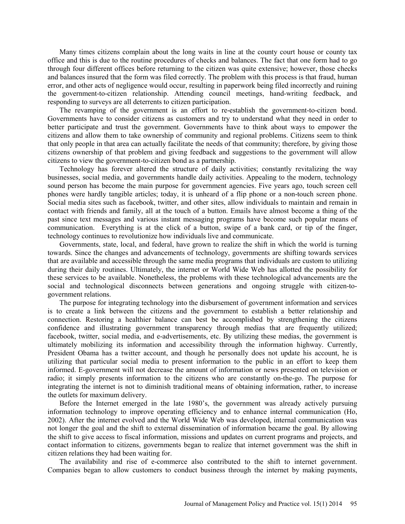Many times citizens complain about the long waits in line at the county court house or county tax office and this is due to the routine procedures of checks and balances. The fact that one form had to go through four different offices before returning to the citizen was quite extensive; however, those checks and balances insured that the form was filed correctly. The problem with this process is that fraud, human error, and other acts of negligence would occur, resulting in paperwork being filed incorrectly and ruining the government-to-citizen relationship. Attending council meetings, hand-writing feedback, and responding to surveys are all deterrents to citizen participation.

The revamping of the government is an effort to re-establish the government-to-citizen bond. Governments have to consider citizens as customers and try to understand what they need in order to better participate and trust the government. Governments have to think about ways to empower the citizens and allow them to take ownership of community and regional problems. Citizens seem to think that only people in that area can actually facilitate the needs of that community; therefore, by giving those citizens ownership of that problem and giving feedback and suggestions to the government will allow citizens to view the government-to-citizen bond as a partnership.

Technology has forever altered the structure of daily activities; constantly revitalizing the way businesses, social media, and governments handle daily activities. Appealing to the modern, technology sound person has become the main purpose for government agencies. Five years ago, touch screen cell phones were hardly tangible articles; today, it is unheard of a flip phone or a non-touch screen phone. Social media sites such as facebook, twitter, and other sites, allow individuals to maintain and remain in contact with friends and family, all at the touch of a button. Emails have almost become a thing of the past since text messages and various instant messaging programs have become such popular means of communication. Everything is at the click of a button, swipe of a bank card, or tip of the finger, technology continues to revolutionize how individuals live and communicate.

Governments, state, local, and federal, have grown to realize the shift in which the world is turning towards. Since the changes and advancements of technology, governments are shifting towards services that are available and accessible through the same media programs that individuals are custom to utilizing during their daily routines. Ultimately, the internet or World Wide Web has allotted the possibility for these services to be available. Nonetheless, the problems with these technological advancements are the social and technological disconnects between generations and ongoing struggle with citizen-togovernment relations.

The purpose for integrating technology into the disbursement of government information and services is to create a link between the citizens and the government to establish a better relationship and connection. Restoring a healthier balance can best be accomplished by strengthening the citizens confidence and illustrating government transparency through medias that are frequently utilized; facebook, twitter, social media, and e-advertisements, etc. By utilizing these medias, the government is ultimately mobilizing its information and accessibility through the information highway. Currently, President Obama has a twitter account, and though he personally does not update his account, he is utilizing that particular social media to present information to the public in an effort to keep them informed. E-government will not decrease the amount of information or news presented on television or radio; it simply presents information to the citizens who are constantly on-the-go. The purpose for integrating the internet is not to diminish traditional means of obtaining information, rather, to increase the outlets for maximum delivery.

Before the Internet emerged in the late 1980's, the government was already actively pursuing information technology to improve operating efficiency and to enhance internal communication (Ho, 2002). After the internet evolved and the World Wide Web was developed, internal communication was not longer the goal and the shift to external dissemination of information became the goal. By allowing the shift to give access to fiscal information, missions and updates on current programs and projects, and contact information to citizens, governments began to realize that internet government was the shift in citizen relations they had been waiting for.

The availability and rise of e-commerce also contributed to the shift to internet government. Companies began to allow customers to conduct business through the internet by making payments,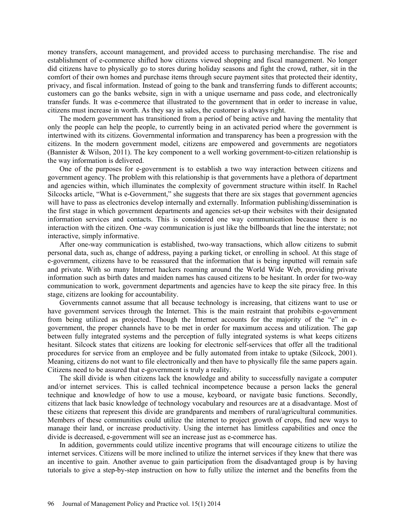money transfers, account management, and provided access to purchasing merchandise. The rise and establishment of e-commerce shifted how citizens viewed shopping and fiscal management. No longer did citizens have to physically go to stores during holiday seasons and fight the crowd, rather, sit in the comfort of their own homes and purchase items through secure payment sites that protected their identity, privacy, and fiscal information. Instead of going to the bank and transferring funds to different accounts; customers can go the banks website, sign in with a unique username and pass code, and electronically transfer funds. It was e-commerce that illustrated to the government that in order to increase in value, citizens must increase in worth. As they say in sales, the customer is always right.

The modern government has transitioned from a period of being active and having the mentality that only the people can help the people, to currently being in an activated period where the government is intertwined with its citizens. Governmental information and transparency has been a progression with the citizens. In the modern government model, citizens are empowered and governments are negotiators (Bannister & Wilson, 2011). The key component to a well working government-to-citizen relationship is the way information is delivered.

One of the purposes for e-government is to establish a two way interaction between citizens and government agency. The problem with this relationship is that governments have a plethora of department and agencies within, which illuminates the complexity of government structure within itself. In Rachel Silcocks article, "What is e-Government," she suggests that there are six stages that government agencies will have to pass as electronics develop internally and externally. Information publishing/dissemination is the first stage in which government departments and agencies set-up their websites with their designated information services and contacts. This is considered one way communication because there is no interaction with the citizen. One -way communication is just like the billboards that line the interstate; not interactive, simply informative.

After one-way communication is established, two-way transactions, which allow citizens to submit personal data, such as, change of address, paying a parking ticket, or enrolling in school. At this stage of e-government, citizens have to be reassured that the information that is being inputted will remain safe and private. With so many Internet hackers roaming around the World Wide Web, providing private information such as birth dates and maiden names has caused citizens to be hesitant. In order for two-way communication to work, government departments and agencies have to keep the site piracy free. In this stage, citizens are looking for accountability.

Governments cannot assume that all because technology is increasing, that citizens want to use or have government services through the Internet. This is the main restraint that prohibits e-government from being utilized as projected. Though the Internet accounts for the majority of the "e" in egovernment, the proper channels have to be met in order for maximum access and utilization. The gap between fully integrated systems and the perception of fully integrated systems is what keeps citizens hesitant. Silcock states that citizens are looking for electronic self-services that offer all the traditional procedures for service from an employee and be fully automated from intake to uptake (Silcock, 2001). Meaning, citizens do not want to file electronically and then have to physically file the same papers again. Citizens need to be assured that e-government is truly a reality.

The skill divide is when citizens lack the knowledge and ability to successfully navigate a computer and/or internet services. This is called technical incompetence because a person lacks the general technique and knowledge of how to use a mouse, keyboard, or navigate basic functions. Secondly, citizens that lack basic knowledge of technology vocabulary and resources are at a disadvantage. Most of these citizens that represent this divide are grandparents and members of rural/agricultural communities. Members of these communities could utilize the internet to project growth of crops, find new ways to manage their land, or increase productivity. Using the internet has limitless capabilities and once the divide is decreased, e-government will see an increase just as e-commerce has.

In addition, governments could utilize incentive programs that will encourage citizens to utilize the internet services. Citizens will be more inclined to utilize the internet services if they knew that there was an incentive to gain. Another avenue to gain participation from the disadvantaged group is by having tutorials to give a step-by-step instruction on how to fully utilize the internet and the benefits from the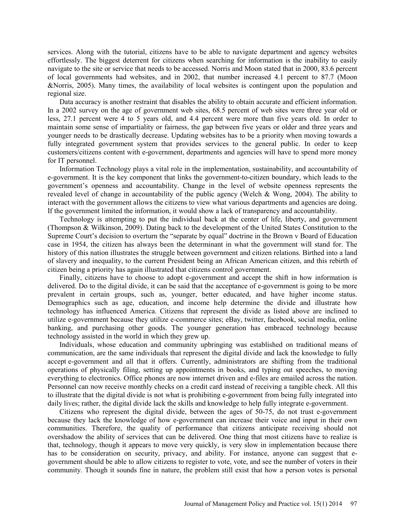services. Along with the tutorial, citizens have to be able to navigate department and agency websites effortlessly. The biggest deterrent for citizens when searching for information is the inability to easily navigate to the site or service that needs to be accessed. Norris and Moon stated that in 2000, 83.6 percent of local governments had websites, and in 2002, that number increased 4.1 percent to 87.7 (Moon &Norris, 2005). Many times, the availability of local websites is contingent upon the population and regional size.

Data accuracy is another restraint that disables the ability to obtain accurate and efficient information. In a 2002 survey on the age of government web sites, 68.5 percent of web sites were three year old or less, 27.1 percent were 4 to 5 years old, and 4.4 percent were more than five years old. In order to maintain some sense of impartiality or fairness, the gap between five years or older and three years and younger needs to be drastically decrease. Updating websites has to be a priority when moving towards a fully integrated government system that provides services to the general public. In order to keep customers/citizens content with e-government, departments and agencies will have to spend more money for IT personnel.

Information Technology plays a vital role in the implementation, sustainability, and accountability of e-government. It is the key component that links the government-to-citizen boundary, which leads to the government's openness and accountability. Change in the level of website openness represents the revealed level of change in accountability of the public agency (Welch & Wong, 2004). The ability to interact with the government allows the citizens to view what various departments and agencies are doing. If the government limited the information, it would show a lack of transparency and accountability.

Technology is attempting to put the individual back at the center of life, liberty, and government (Thompson & Wilkinson, 2009). Dating back to the development of the United States Constitution to the Supreme Court's decision to overturn the "separate by equal" doctrine in the Brown v Board of Education case in 1954, the citizen has always been the determinant in what the government will stand for. The history of this nation illustrates the struggle between government and citizen relations. Birthed into a land of slavery and inequality, to the current President being an African American citizen, and this rebirth of citizen being a priority has again illustrated that citizens control government.

Finally, citizens have to choose to adopt e-government and accept the shift in how information is delivered. Do to the digital divide, it can be said that the acceptance of e-government is going to be more prevalent in certain groups, such as, younger, better educated, and have higher income status. Demographics such as age, education, and income help determine the divide and illustrate how technology has influenced America. Citizens that represent the divide as listed above are inclined to utilize e-government because they utilize e-commerce sites; eBay, twitter, facebook, social media, online banking, and purchasing other goods. The younger generation has embraced technology because technology assisted in the world in which they grew up.

Individuals, whose education and community upbringing was established on traditional means of communication, are the same individuals that represent the digital divide and lack the knowledge to fully accept e -government and all that it offers. Currently, administrators are shifting from the traditional operations of physically filing, setting up appointments in books, and typing out speeches, to moving everything to electronics. Office phones are now internet driven and e-files are emailed across the nation. Personnel can now receive monthly checks on a credit card instead of receiving a tangible check. All this to illustrate that the digital divide is not what is prohibiting e-government from being fully integrated into daily lives; rather, the digital divide lack the skills and knowledge to help fully integrate e-government.

Citizens who represent the digital divide, between the ages of 50-75, do not trust e-government because they lack the knowledge of how e-government can increase their voice and input in their own communities. Therefore, the quality of performance that citizens anticipate receiving should not overshadow the ability of services that can be delivered. One thing that most citizens have to realize is that, technology, though it appears to move very quickly, is very slow in implementation because there has to be consideration on security, privacy, and ability. For instance, anyone can suggest that egovernment should be able to allow citizens to register to vote, vote, and see the number of voters in their community. Though it sounds fine in nature, the problem still exist that how a person votes is personal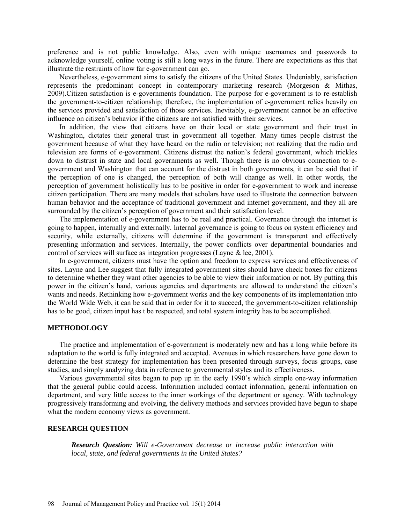preference and is not public knowledge. Also, even with unique usernames and passwords to acknowledge yourself, online voting is still a long ways in the future. There are expectations as this that illustrate the restraints of how far e-government can go.

Nevertheless, e-government aims to satisfy the citizens of the United States. Undeniably, satisfaction represents the predominant concept in contemporary marketing research (Morgeson & Mithas, 2009).Citizen satisfaction is e-governments foundation. The purpose for e-government is to re-establish the government-to-citizen relationship; therefore, the implementation of e-government relies heavily on the services provided and satisfaction of those services. Inevitably, e-government cannot be an effective influence on citizen's behavior if the citizens are not satisfied with their services.

In addition, the view that citizens have on their local or state government and their trust in Washington, dictates their general trust in government all together. Many times people distrust the government because of what they have heard on the radio or television; not realizing that the radio and television are forms of e-government. Citizens distrust the nation's federal government, which trickles down to distrust in state and local governments as well. Though there is no obvious connection to egovernment and Washington that can account for the distrust in both governments, it can be said that if the perception of one is changed, the perception of both will change as well. In other words, the perception of government holistically has to be positive in order for e-government to work and increase citizen participation. There are many models that scholars have used to illustrate the connection between human behavior and the acceptance of traditional government and internet government, and they all are surrounded by the citizen's perception of government and their satisfaction level.

The implementation of e-government has to be real and practical. Governance through the internet is going to happen, internally and externally. Internal governance is going to focus on system efficiency and security, while externally, citizens will determine if the government is transparent and effectively presenting information and services. Internally, the power conflicts over departmental boundaries and control of services will surface as integration progresses (Layne & lee, 2001).

In e-government, citizens must have the option and freedom to express services and effectiveness of sites. Layne and Lee suggest that fully integrated government sites should have check boxes for citizens to determine whether they want other agencies to be able to view their information or not. By putting this power in the citizen's hand, various agencies and departments are allowed to understand the citizen's wants and needs. Rethinking how e-government works and the key components of its implementation into the World Wide Web, it can be said that in order for it to succeed, the government-to-citizen relationship has to be good, citizen input has t be respected, and total system integrity has to be accomplished.

#### **METHODOLOGY**

The practice and implementation of e-government is moderately new and has a long while before its adaptation to the world is fully integrated and accepted. Avenues in which researchers have gone down to determine the best strategy for implementation has been presented through surveys, focus groups, case studies, and simply analyzing data in reference to governmental styles and its effectiveness.

Various governmental sites began to pop up in the early 1990's which simple one-way information that the general public could access. Information included contact information, general information on department, and very little access to the inner workings of the department or agency. With technology progressively transforming and evolving, the delivery methods and services provided have begun to shape what the modern economy views as government.

#### **RESEARCH QUESTION**

*Research Question: Will e-Government decrease or increase public interaction with local, state, and federal governments in the United States?*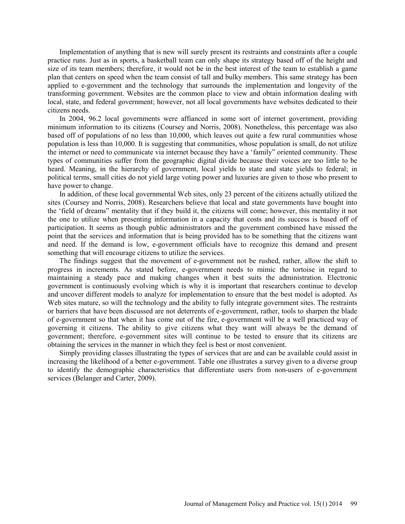Implementation of anything that is new will surely present its restraints and constraints after a couple practice runs. Just as in sports, a basketball team can only shape its strategy based off of the height and size of its team members; therefore, it would not be in the best interest of the team to establish a game plan that centers on speed when the team consist of tall and bulky members. This same strategy has been applied to e-government and the technology that surrounds the implementation and longevity of the transforming government. Websites are the common place to view and obtain information dealing with local, state, and federal government; however, not all local governments have websites dedicated to their citizens needs.

In 2004, 96.2 local governments were affianced in some sort of internet government, providing minimum information to its citizens (Coursey and Norris, 2008). Nonetheless, this percentage was also based off of populations of no less than 10,000, which leaves out quite a few rural communities whose population is less than 10,000. It is suggesting that communities, whose population is small, do not utilize the internet or need to communicate via internet because they have a 'family" oriented community. These types of communities suffer from the geographic digital divide because their voices are too little to be heard. Meaning, in the hierarchy of government, local yields to state and state yields to federal; in political terms, small cities do not yield large voting power and luxuries are given to those who present to have power to change.

In addition, of these local governmental Web sites, only 23 percent of the citizens actually utilized the sites (Coursey and Norris, 2008). Researchers believe that local and state governments have bought into the 'field of dreams" mentality that if they build it, the citizens will come; however, this mentality it not the one to utilize when presenting information in a capacity that costs and its success is based off of participation. It seems as though public administrators and the government combined have missed the point that the services and information that is being provided has to be something that the citizens want and need. If the demand is low, e-government officials have to recognize this demand and present something that will encourage citizens to utilize the services.

The findings suggest that the movement of e-government not be rushed, rather, allow the shift to progress in increments. As stated before, e-government needs to mimic the tortoise in regard to maintaining a steady pace and making changes when it best suits the administration. Electronic government is continuously evolving which is why it is important that researchers continue to develop and uncover different models to analyze for implementation to ensure that the best model is adopted. As Web sites mature, so will the technology and the ability to fully integrate government sites. The restraints or barriers that have been discussed are not deterrents of e-government, rather, tools to sharpen the blade of e-government so that when it has come out of the fire, e-government will be a well practiced way of governing it citizens. The ability to give citizens what they want will always be the demand of government; therefore, e-government sites will continue to be tested to ensure that its citizens are obtaining the services in the manner in which they feel is best or most convenient.

Simply providing classes illustrating the types of services that are and can be available could assist in increasing the likelihood of a better e-government. Table one illustrates a survey given to a diverse group to identify the demographic characteristics that differentiate users from non-users of e-government services (Belanger and Carter, 2009).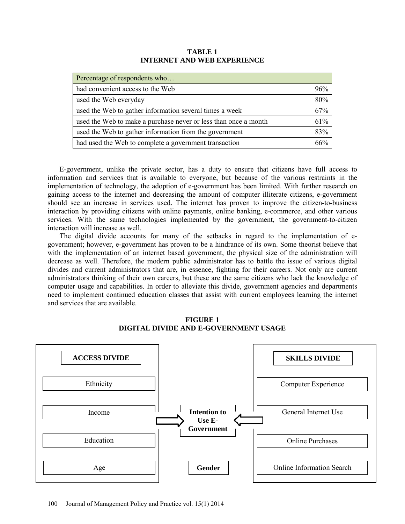| <b>TABLE 1</b>                     |
|------------------------------------|
| <b>INTERNET AND WEB EXPERIENCE</b> |

| Percentage of respondents who                                   |     |
|-----------------------------------------------------------------|-----|
| had convenient access to the Web                                | 96% |
| used the Web everyday                                           | 80% |
| used the Web to gather information several times a week         | 67% |
| used the Web to make a purchase never or less than once a month | 61% |
| used the Web to gather information from the government          | 83% |
| had used the Web to complete a government transaction           |     |

E-government, unlike the private sector, has a duty to ensure that citizens have full access to information and services that is available to everyone, but because of the various restraints in the implementation of technology, the adoption of e-government has been limited. With further research on gaining access to the internet and decreasing the amount of computer illiterate citizens, e-government should see an increase in services used. The internet has proven to improve the citizen-to-business interaction by providing citizens with online payments, online banking, e-commerce, and other various services. With the same technologies implemented by the government, the government-to-citizen interaction will increase as well.

The digital divide accounts for many of the setbacks in regard to the implementation of egovernment; however, e-government has proven to be a hindrance of its own. Some theorist believe that with the implementation of an internet based government, the physical size of the administration will decrease as well. Therefore, the modern public administrator has to battle the issue of various digital divides and current administrators that are, in essence, fighting for their careers. Not only are current administrators thinking of their own careers, but these are the same citizens who lack the knowledge of computer usage and capabilities. In order to alleviate this divide, government agencies and departments need to implement continued education classes that assist with current employees learning the internet and services that are available.



**FIGURE 1 DIGITAL DIVIDE AND E-GOVERNMENT USAGE**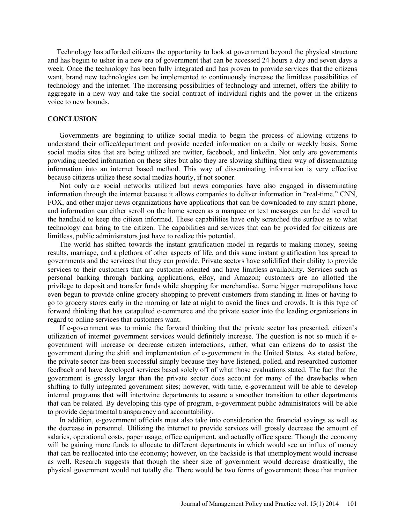Technology has afforded citizens the opportunity to look at government beyond the physical structure and has begun to usher in a new era of government that can be accessed 24 hours a day and seven days a week. Once the technology has been fully integrated and has proven to provide services that the citizens want, brand new technologies can be implemented to continuously increase the limitless possibilities of technology and the internet. The increasing possibilities of technology and internet, offers the ability to aggregate in a new way and take the social contract of individual rights and the power in the citizens voice to new bounds.

#### **CONCLUSION**

Governments are beginning to utilize social media to begin the process of allowing citizens to understand their office/department and provide needed information on a daily or weekly basis. Some social media sites that are being utilized are twitter, facebook, and linkedin. Not only are governments providing needed information on these sites but also they are slowing shifting their way of disseminating information into an internet based method. This way of disseminating information is very effective because citizens utilize these social medias hourly, if not sooner.

Not only are social networks utilized but news companies have also engaged in disseminating information through the internet because it allows companies to deliver information in "real-time." CNN, FOX, and other major news organizations have applications that can be downloaded to any smart phone, and information can either scroll on the home screen as a marquee or text messages can be delivered to the handheld to keep the citizen informed. These capabilities have only scratched the surface as to what technology can bring to the citizen. The capabilities and services that can be provided for citizens are limitless, public administrators just have to realize this potential.

The world has shifted towards the instant gratification model in regards to making money, seeing results, marriage, and a plethora of other aspects of life, and this same instant gratification has spread to governments and the services that they can provide. Private sectors have solidified their ability to provide services to their customers that are customer-oriented and have limitless availability. Services such as personal banking through banking applications, eBay, and Amazon; customers are no allotted the privilege to deposit and transfer funds while shopping for merchandise. Some bigger metropolitans have even begun to provide online grocery shopping to prevent customers from standing in lines or having to go to grocery stores early in the morning or late at night to avoid the lines and crowds. It is this type of forward thinking that has catapulted e-commerce and the private sector into the leading organizations in regard to online services that customers want.

If e-government was to mimic the forward thinking that the private sector has presented, citizen's utilization of internet government services would definitely increase. The question is not so much if egovernment will increase or decrease citizen interactions, rather, what can citizens do to assist the government during the shift and implementation of e-government in the United States. As stated before, the private sector has been successful simply because they have listened, polled, and researched customer feedback and have developed services based solely off of what those evaluations stated. The fact that the government is grossly larger than the private sector does account for many of the drawbacks when shifting to fully integrated government sites; however, with time, e-government will be able to develop internal programs that will intertwine departments to assure a smoother transition to other departments that can be related. By developing this type of program, e-government public administrators will be able to provide departmental transparency and accountability.

In addition, e-government officials must also take into consideration the financial savings as well as the decrease in personnel. Utilizing the internet to provide services will grossly decrease the amount of salaries, operational costs, paper usage, office equipment, and actually office space. Though the economy will be gaining more funds to allocate to different departments in which would see an influx of money that can be reallocated into the economy; however, on the backside is that unemployment would increase as well. Research suggests that though the sheer size of government would decrease drastically, the physical government would not totally die. There would be two forms of government: those that monitor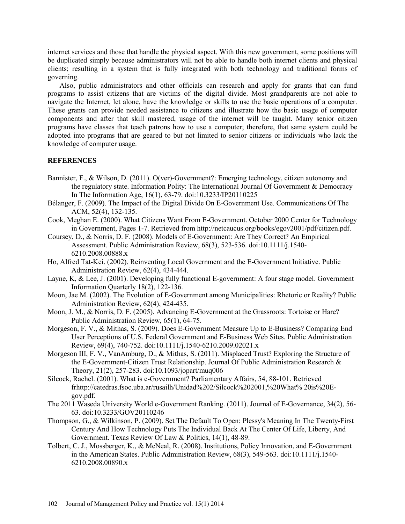internet services and those that handle the physical aspect. With this new government, some positions will be duplicated simply because administrators will not be able to handle both internet clients and physical clients; resulting in a system that is fully integrated with both technology and traditional forms of governing.

Also, public administrators and other officials can research and apply for grants that can fund programs to assist citizens that are victims of the digital divide. Most grandparents are not able to navigate the Internet, let alone, have the knowledge or skills to use the basic operations of a computer. These grants can provide needed assistance to citizens and illustrate how the basic usage of computer components and after that skill mastered, usage of the internet will be taught. Many senior citizen programs have classes that teach patrons how to use a computer; therefore, that same system could be adopted into programs that are geared to but not limited to senior citizens or individuals who lack the knowledge of computer usage.

## **REFERENCES**

- Bannister, F., & Wilson, D. (2011). O(ver)-Government?: Emerging technology, citizen autonomy and the regulatory state. Information Polity: The International Journal Of Government & Democracy In The Information Age, 16(1), 63-79. doi:10.3233/IP20110225
- Bélanger, F. (2009). The Impact of the Digital Divide On E-Government Use. Communications Of The ACM, 52(4), 132-135.
- Cook, Meghan E. (2000). What Citizens Want From E-Government. October 2000 Center for Technology in Government, Pages 1-7. Retrieved from [http://netcaucus.org/books/egov2001/pdf/citizen.pdf.](http://netcaucus.org/books/egov2001/pdf/citizen.pdf)
- Coursey, D., & Norris, D. F. (2008). Models of E-Government: Are They Correct? An Empirical Assessment. Public Administration Review, 68(3), 523-536. doi:10.1111/j.1540- 6210.2008.00888.x
- Ho, Alfred Tat-Kei. (2002). Reinventing Local Government and the E-Government Initiative. Public Administration Review, 62(4), 434-444.
- Layne, K, & Lee, J. (2001). Developing fully functional E-government: A four stage model. Government Information Quarterly 18(2), 122-136.
- Moon, Jae M. (2002). The Evolution of E-Government among Municipalities: Rhetoric or Reality? Public Administration Review, 62(4), 424-435.
- Moon, J. M., & Norris, D. F. (2005). Advancing E-Government at the Grassroots: Tortoise or Hare? Public Administration Review, 65(1), 64-75.
- Morgeson, F. V., & Mithas, S. (2009). Does E-Government Measure Up to E-Business? Comparing End User Perceptions of U.S. Federal Government and E-Business Web Sites. Public Administration Review, 69(4), 740-752. doi:10.1111/j.1540-6210.2009.02021.x
- Morgeson III, F. V., VanAmburg, D., & Mithas, S. (2011). Misplaced Trust? Exploring the Structure of the E-Government-Citizen Trust Relationship. Journal Of Public Administration Research & Theory, 21(2), 257-283. doi:10.1093/jopart/muq006
- Silcock, Rachel. (2001). What is e-Government? Parliamentary Affairs, 54, 88-101. Retrieved f[rhttp://catedras.fsoc.uba.ar/rusailh/Unidad%202/Silcock%202001,%20What%](http://catedras.fsoc.uba.ar/rusailh/Unidad%202/Silcock%202001,%20What%25) 20is%20Egov.pdf.
- The 2011 Waseda University World e-Government Ranking. (2011). Journal of E-Governance, 34(2), 56- 63. doi:10.3233/GOV20110246
- Thompson, G., & Wilkinson, P. (2009). Set The Default To Open: Plessy's Meaning In The Twenty-First Century And How Technology Puts The Individual Back At The Center Of Life, Liberty, And Government. Texas Review Of Law & Politics, 14(1), 48-89.
- Tolbert, C. J., Mossberger, K., & McNeal, R. (2008). Institutions, Policy Innovation, and E-Government in the American States. Public Administration Review, 68(3), 549-563. doi:10.1111/j.1540- 6210.2008.00890.x